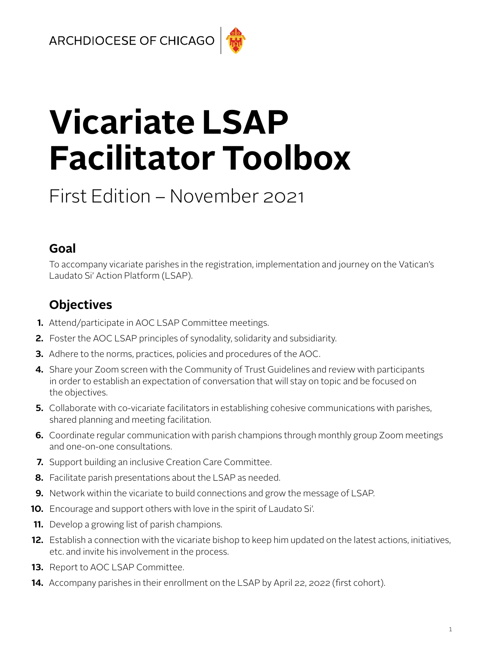# **Vicariate LSAP Facilitator Toolbox**

## First Edition – November 2021

## **Goal**

To accompany vicariate parishes in the registration, implementation and journey on the Vatican's Laudato Si' Action Platform (LSAP).

## **Objectives**

- **1.** Attend/participate in AOC LSAP Committee meetings.
- **2.** Foster the AOC LSAP principles of synodality, solidarity and subsidiarity.
- **3.** Adhere to the norms, practices, policies and procedures of the AOC.
- **4.** Share your Zoom screen with the Community of Trust Guidelines and review with participants in order to establish an expectation of conversation that will stay on topic and be focused on the objectives.
- **5.** Collaborate with co-vicariate facilitators in establishing cohesive communications with parishes, shared planning and meeting facilitation.
- **6.** Coordinate regular communication with parish champions through monthly group Zoom meetings and one-on-one consultations.
- **7.** Support building an inclusive Creation Care Committee.
- **8.** Facilitate parish presentations about the LSAP as needed.
- **9.** Network within the vicariate to build connections and grow the message of LSAP.
- **10.** Encourage and support others with love in the spirit of Laudato Si'.
- **11.** Develop a growing list of parish champions.
- **12.** Establish a connection with the vicariate bishop to keep him updated on the latest actions, initiatives, etc. and invite his involvement in the process.
- **13.** Report to AOC LSAP Committee.
- **14.** Accompany parishes in their enrollment on the LSAP by April 22, 2022 (first cohort).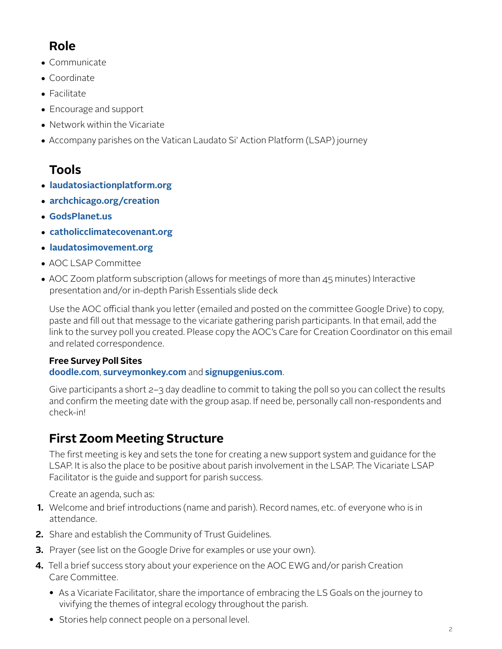## **Role**

- Communicate
- Coordinate
- Facilitate
- Encourage and support
- Network within the Vicariate
- Accompany parishes on the Vatican Laudato Si' Action Platform (LSAP) journey

## **Tools**

- **[laudatosiactionplatform.org](http://laudatosiactionplatform.org)**
- **[archchicago.org/creation](http://archchicago.org/creation)**
- **[GodsPlanet.us](http://GodsPlanet.us)**
- **[catholicclimatecovenant.org](http://catholicclimatecovenant.org)**
- **[laudatosimovement.org](http://laudatosimovement.org)**
- AOC LSAP Committee
- AOC Zoom platform subscription (allows for meetings of more than 45 minutes) Interactive presentation and/or in-depth Parish Essentials slide deck

Use the AOC official thank you letter (emailed and posted on the committee Google Drive) to copy, paste and fill out that message to the vicariate gathering parish participants. In that email, add the link to the survey poll you created. Please copy the AOC's Care for Creation Coordinator on this email and related correspondence.

## **Free Survey Poll Sites**

## **[doodle.com](http://doodle.com)**, **[surveymonkey.com](http://surveymonkey.com)** and **[signupgenius.com](http://signupgenius.com)**.

Give participants a short 2–3 day deadline to commit to taking the poll so you can collect the results and confirm the meeting date with the group asap. If need be, personally call non-respondents and check-in!

## **First Zoom Meeting Structure**

The first meeting is key and sets the tone for creating a new support system and guidance for the LSAP. It is also the place to be positive about parish involvement in the LSAP. The Vicariate LSAP Facilitator is the guide and support for parish success.

Create an agenda, such as:

- **1.** Welcome and brief introductions (name and parish). Record names, etc. of everyone who is in attendance.
- **2.** Share and establish the Community of Trust Guidelines.
- **3.** Prayer (see list on the Google Drive for examples or use your own).
- **4.** Tell a brief success story about your experience on the AOC EWG and/or parish Creation Care Committee.
	- As a Vicariate Facilitator, share the importance of embracing the LS Goals on the journey to vivifying the themes of integral ecology throughout the parish.
	- Stories help connect people on a personal level.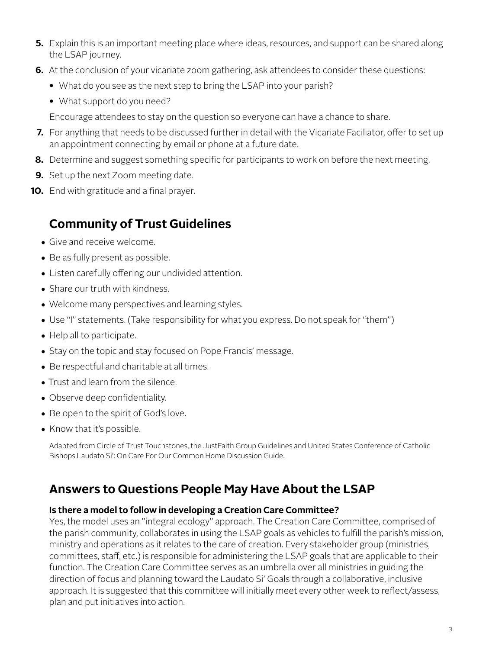- **5.** Explain this is an important meeting place where ideas, resources, and support can be shared along the LSAP journey.
- **6.** At the conclusion of your vicariate zoom gathering, ask attendees to consider these questions:
	- What do you see as the next step to bring the LSAP into your parish?
	- What support do you need?

Encourage attendees to stay on the question so everyone can have a chance to share.

- **7.** For anything that needs to be discussed further in detail with the Vicariate Faciliator, offer to set up an appointment connecting by email or phone at a future date.
- **8.** Determine and suggest something specific for participants to work on before the next meeting.
- **9.** Set up the next Zoom meeting date.
- **10.** End with gratitude and a final prayer.

## **Community of Trust Guidelines**

- Give and receive welcome.
- Be as fully present as possible.
- Listen carefully offering our undivided attention.
- Share our truth with kindness.
- Welcome many perspectives and learning styles.
- Use "I" statements. (Take responsibility for what you express. Do not speak for "them")
- Help all to participate.
- Stay on the topic and stay focused on Pope Francis' message.
- Be respectful and charitable at all times.
- Trust and learn from the silence.
- Observe deep confidentiality.
- Be open to the spirit of God's love.
- Know that it's possible.

Adapted from Circle of Trust Touchstones, the JustFaith Group Guidelines and United States Conference of Catholic Bishops Laudato Si': On Care For Our Common Home Discussion Guide.

## **Answers to Questions People May Have About the LSAP**

#### **Is there a model to follow in developing a Creation Care Committee?**

Yes, the model uses an "integral ecology" approach. The Creation Care Committee, comprised of the parish community, collaborates in using the LSAP goals as vehicles to fulfill the parish's mission, ministry and operations as it relates to the care of creation. Every stakeholder group (ministries, committees, staff, etc.) is responsible for administering the LSAP goals that are applicable to their function. The Creation Care Committee serves as an umbrella over all ministries in guiding the direction of focus and planning toward the Laudato Si' Goals through a collaborative, inclusive approach. It is suggested that this committee will initially meet every other week to reflect/assess, plan and put initiatives into action.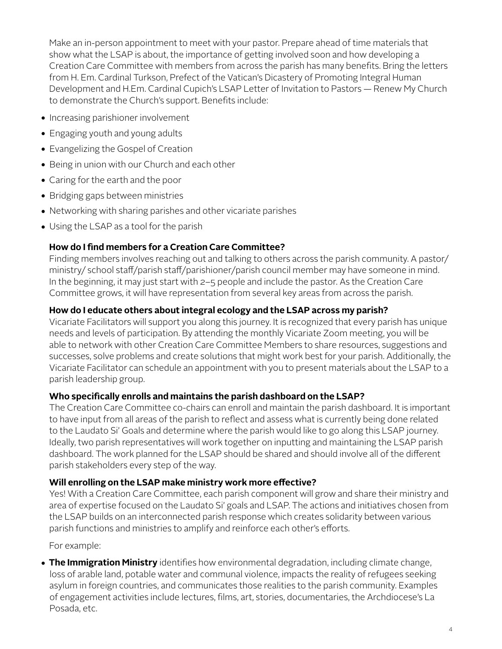Make an in-person appointment to meet with your pastor. Prepare ahead of time materials that show what the LSAP is about, the importance of getting involved soon and how developing a Creation Care Committee with members from across the parish has many benefits. Bring the letters from H. Em. Cardinal Turkson, Prefect of the Vatican's Dicastery of Promoting Integral Human Development and H.Em. Cardinal Cupich's LSAP Letter of Invitation to Pastors — Renew My Church to demonstrate the Church's support. Benefits include:

- Increasing parishioner involvement
- Engaging youth and young adults
- Evangelizing the Gospel of Creation
- Being in union with our Church and each other
- Caring for the earth and the poor
- Bridging gaps between ministries
- Networking with sharing parishes and other vicariate parishes
- Using the LSAP as a tool for the parish

#### **How do I find members for a Creation Care Committee?**

Finding members involves reaching out and talking to others across the parish community. A pastor/ ministry/ school staff/parish staff/parishioner/parish council member may have someone in mind. In the beginning, it may just start with 2–5 people and include the pastor. As the Creation Care Committee grows, it will have representation from several key areas from across the parish.

#### **How do I educate others about integral ecology and the LSAP across my parish?**

Vicariate Facilitators will support you along this journey. It is recognized that every parish has unique needs and levels of participation. By attending the monthly Vicariate Zoom meeting, you will be able to network with other Creation Care Committee Members to share resources, suggestions and successes, solve problems and create solutions that might work best for your parish. Additionally, the Vicariate Facilitator can schedule an appointment with you to present materials about the LSAP to a parish leadership group.

#### **Who specifically enrolls and maintains the parish dashboard on the LSAP?**

The Creation Care Committee co-chairs can enroll and maintain the parish dashboard. It is important to have input from all areas of the parish to reflect and assess what is currently being done related to the Laudato Si' Goals and determine where the parish would like to go along this LSAP journey. Ideally, two parish representatives will work together on inputting and maintaining the LSAP parish dashboard. The work planned for the LSAP should be shared and should involve all of the different parish stakeholders every step of the way.

#### **Will enrolling on the LSAP make ministry work more effective?**

Yes! With a Creation Care Committee, each parish component will grow and share their ministry and area of expertise focused on the Laudato Si' goals and LSAP. The actions and initiatives chosen from the LSAP builds on an interconnected parish response which creates solidarity between various parish functions and ministries to amplify and reinforce each other's efforts.

For example:

• **The Immigration Ministry** identifies how environmental degradation, including climate change, loss of arable land, potable water and communal violence, impacts the reality of refugees seeking asylum in foreign countries, and communicates those realities to the parish community. Examples of engagement activities include lectures, films, art, stories, documentaries, the Archdiocese's La Posada, etc.